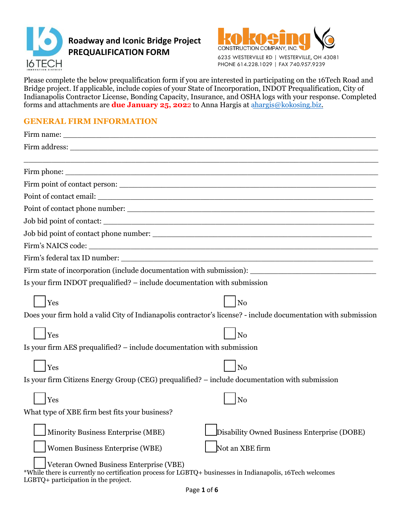



Please complete the below prequalification form if you are interested in participating on the 16Tech Road and Bridge project. If applicable, include copies of your State of Incorporation, INDOT Prequalification, City of Indianapolis Contractor License, Bonding Capacity, Insurance, and OSHA logs with your response. Completed forms and attachments are **due January 25, 202**2 to Anna Hargis at [ahargis@kokosing.biz.](mailto:ahargis@kokosing.biz) 

### **GENERAL FIRM INFORMATION**

| Firm address: The contract of the contract of the contract of the contract of the contract of the contract of the contract of the contract of the contract of the contract of the contract of the contract of the contract of |  |  |
|-------------------------------------------------------------------------------------------------------------------------------------------------------------------------------------------------------------------------------|--|--|
|                                                                                                                                                                                                                               |  |  |
|                                                                                                                                                                                                                               |  |  |
|                                                                                                                                                                                                                               |  |  |
|                                                                                                                                                                                                                               |  |  |
|                                                                                                                                                                                                                               |  |  |
| Job bid point of contact:                                                                                                                                                                                                     |  |  |
|                                                                                                                                                                                                                               |  |  |
|                                                                                                                                                                                                                               |  |  |
|                                                                                                                                                                                                                               |  |  |
| Firm state of incorporation (include documentation with submission): _______________________________                                                                                                                          |  |  |
| Is your firm INDOT prequalified? – include documentation with submission                                                                                                                                                      |  |  |
| Yes<br>No                                                                                                                                                                                                                     |  |  |
| Does your firm hold a valid City of Indianapolis contractor's license? - include documentation with submission                                                                                                                |  |  |
| Yes<br>N <sub>o</sub>                                                                                                                                                                                                         |  |  |
| Is your firm AES prequalified? – include documentation with submission                                                                                                                                                        |  |  |
| Yes<br>No                                                                                                                                                                                                                     |  |  |
| Is your firm Citizens Energy Group (CEG) prequalified? - include documentation with submission                                                                                                                                |  |  |
| Yes<br>N <sub>0</sub>                                                                                                                                                                                                         |  |  |
| What type of XBE firm best fits your business?                                                                                                                                                                                |  |  |
| Minority Business Enterprise (MBE)<br>Disability Owned Business Enterprise (DOBE)                                                                                                                                             |  |  |
| Not an XBE firm<br>Women Business Enterprise (WBE)                                                                                                                                                                            |  |  |
| Veteran Owned Business Enterprise (VBE)<br>*While there is currently no certification process for LGBTQ+ businesses in Indianapolis, 16Tech welcomes                                                                          |  |  |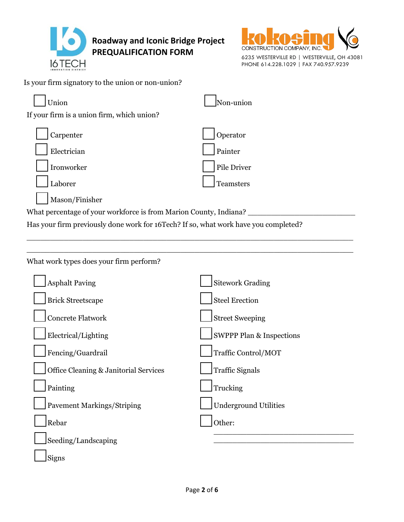



6235 WESTERVILLE RD | WESTERVILLE, OH 43081 PHONE 614.228.1029 | FAX 740.957.9239

Is your firm signatory to the union or non-union?

| Union                                                             | Non-union   |
|-------------------------------------------------------------------|-------------|
| If your firm is a union firm, which union?                        |             |
| Carpenter                                                         | Operator    |
| Electrician                                                       | Painter     |
| Ironworker                                                        | Pile Driver |
| Laborer                                                           | Teamsters   |
| Mason/Finisher                                                    |             |
| What percentage of your workforce is from Marion County, Indiana? |             |

Has your firm previously done work for 16Tech? If so, what work have you completed?

| What work types does your firm perform? |  |
|-----------------------------------------|--|

| <b>Asphalt Paving</b>                 | <b>Sitework Grading</b>             |
|---------------------------------------|-------------------------------------|
| <b>Brick Streetscape</b>              | <b>Steel Erection</b>               |
| <b>Concrete Flatwork</b>              | <b>Street Sweeping</b>              |
| Electrical/Lighting                   | <b>SWPPP Plan &amp; Inspections</b> |
| Fencing/Guardrail                     | Traffic Control/MOT                 |
| Office Cleaning & Janitorial Services | <b>Traffic Signals</b>              |
| Painting                              | Trucking                            |
| <b>Pavement Markings/Striping</b>     | <b>Underground Utilities</b>        |
| Rebar                                 | Other:                              |
| Seeding/Landscaping                   |                                     |
| Signs                                 |                                     |

\_\_\_\_\_\_\_\_\_\_\_\_\_\_\_\_\_\_\_\_\_\_\_\_\_\_\_\_\_\_\_\_\_\_\_\_\_\_\_\_\_\_\_\_\_\_\_\_\_\_\_\_\_\_\_\_\_\_\_\_\_\_\_\_\_\_\_\_\_\_ \_\_\_\_\_\_\_\_\_\_\_\_\_\_\_\_\_\_\_\_\_\_\_\_\_\_\_\_\_\_\_\_\_\_\_\_\_\_\_\_\_\_\_\_\_\_\_\_\_\_\_\_\_\_\_\_\_\_\_\_\_\_\_\_\_\_\_\_\_\_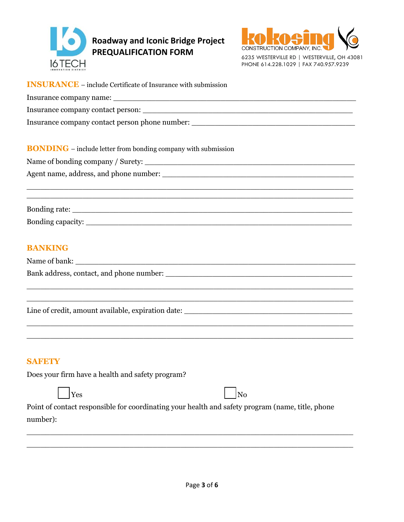

## **Roadway and Iconic Bridge Project PREQUALIFICATION FORM**



PHONE 614.228.1029 | FAX 740.957.9239

**INSURANCE** – include Certificate of Insurance with submission Insurance company name: Insurance company contact person: Insurance company contact person phone number: \_\_\_\_\_\_\_\_\_\_\_\_\_\_\_\_\_\_\_\_\_\_\_\_\_\_\_\_\_\_\_\_\_ **BONDING** – include letter from bonding company with submission Name of bonding company / Surety: \_\_\_\_\_\_\_\_\_\_\_\_\_\_\_\_\_\_\_\_\_\_\_\_\_\_\_\_\_\_\_\_\_\_\_\_\_\_\_\_\_\_\_\_\_ Agent name, address, and phone number: \_\_\_\_\_\_\_\_\_\_\_\_\_\_\_\_\_\_\_\_\_\_\_\_\_\_\_\_\_\_\_\_\_\_\_\_\_\_\_\_\_ \_\_\_\_\_\_\_\_\_\_\_\_\_\_\_\_\_\_\_\_\_\_\_\_\_\_\_\_\_\_\_\_\_\_\_\_\_\_\_\_\_\_\_\_\_\_\_\_\_\_\_\_\_\_\_\_\_\_\_\_\_\_\_\_\_\_\_\_\_\_ \_\_\_\_\_\_\_\_\_\_\_\_\_\_\_\_\_\_\_\_\_\_\_\_\_\_\_\_\_\_\_\_\_\_\_\_\_\_\_\_\_\_\_\_\_\_\_\_\_\_\_\_\_\_\_\_\_\_\_\_\_\_\_\_\_\_\_\_\_\_ Bonding rate: \_\_\_\_\_\_\_\_\_\_\_\_\_\_\_\_\_\_\_\_\_\_\_\_\_\_\_\_\_\_\_\_\_\_\_\_\_\_\_\_\_\_\_\_\_\_\_\_\_\_\_\_\_\_\_\_\_\_\_\_ Bonding capacity: **BANKING** Name of bank: Bank address, contact, and phone number: \_\_\_\_\_\_\_\_\_\_\_\_\_\_\_\_\_\_\_\_\_\_\_\_\_\_\_\_\_\_\_\_\_\_\_\_\_\_\_\_ \_\_\_\_\_\_\_\_\_\_\_\_\_\_\_\_\_\_\_\_\_\_\_\_\_\_\_\_\_\_\_\_\_\_\_\_\_\_\_\_\_\_\_\_\_\_\_\_\_\_\_\_\_\_\_\_\_\_\_\_\_\_\_\_\_\_\_\_\_\_ \_\_\_\_\_\_\_\_\_\_\_\_\_\_\_\_\_\_\_\_\_\_\_\_\_\_\_\_\_\_\_\_\_\_\_\_\_\_\_\_\_\_\_\_\_\_\_\_\_\_\_\_\_\_\_\_\_\_\_\_\_\_\_\_\_\_\_\_\_\_ Line of credit, amount available, expiration date: \_\_\_\_\_\_\_\_\_\_\_\_\_\_\_\_\_\_\_\_\_\_\_\_\_\_\_\_\_\_ \_\_\_\_\_\_\_\_\_\_\_\_\_\_\_\_\_\_\_\_\_\_\_\_\_\_\_\_\_\_\_\_\_\_\_\_\_\_\_\_\_\_\_\_\_\_\_\_\_\_\_\_\_\_\_\_\_\_\_\_\_\_\_\_\_\_\_\_\_\_ \_\_\_\_\_\_\_\_\_\_\_\_\_\_\_\_\_\_\_\_\_\_\_\_\_\_\_\_\_\_\_\_\_\_\_\_\_\_\_\_\_\_\_\_\_\_\_\_\_\_\_\_\_\_\_\_\_\_\_\_\_\_\_\_\_\_\_\_\_\_ **SAFETY** Does your firm have a health and safety program?  $\log N$ Point of contact responsible for coordinating your health and safety program (name, title, phone number): \_\_\_\_\_\_\_\_\_\_\_\_\_\_\_\_\_\_\_\_\_\_\_\_\_\_\_\_\_\_\_\_\_\_\_\_\_\_\_\_\_\_\_\_\_\_\_\_\_\_\_\_\_\_\_\_\_\_\_\_\_\_\_\_\_\_\_\_\_\_

\_\_\_\_\_\_\_\_\_\_\_\_\_\_\_\_\_\_\_\_\_\_\_\_\_\_\_\_\_\_\_\_\_\_\_\_\_\_\_\_\_\_\_\_\_\_\_\_\_\_\_\_\_\_\_\_\_\_\_\_\_\_\_\_\_\_\_\_\_\_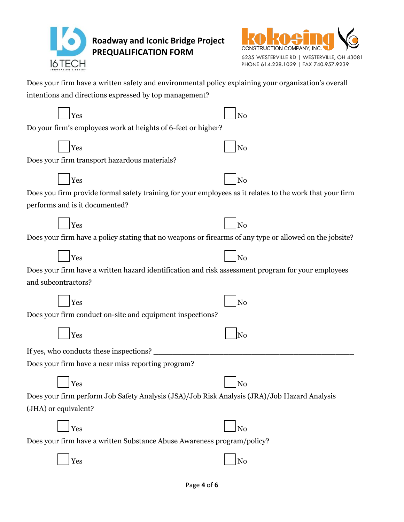

# **Roadway and Iconic Bridge Project PREQUALIFICATION FORM**



| Does your firm have a written safety and environmental policy explaining your organization's overall |
|------------------------------------------------------------------------------------------------------|
| intentions and directions expressed by top management?                                               |

| Yes                                                                                                      | No             |
|----------------------------------------------------------------------------------------------------------|----------------|
| Do your firm's employees work at heights of 6-feet or higher?                                            |                |
| Yes                                                                                                      | N <sub>o</sub> |
| Does your firm transport hazardous materials?                                                            |                |
|                                                                                                          |                |
| Yes                                                                                                      | No             |
| Does you firm provide formal safety training for your employees as it relates to the work that your firm |                |
| performs and is it documented?                                                                           |                |
| Yes                                                                                                      | No             |
| Does your firm have a policy stating that no weapons or firearms of any type or allowed on the jobsite?  |                |
| Yes                                                                                                      | $ $ No         |
| Does your firm have a written hazard identification and risk assessment program for your employees       |                |
| and subcontractors?                                                                                      |                |
|                                                                                                          |                |
| Yes                                                                                                      | No             |
| Does your firm conduct on-site and equipment inspections?                                                |                |
| Yes                                                                                                      | No             |
| If yes, who conducts these inspections?                                                                  |                |
| Does your firm have a near miss reporting program?                                                       |                |
| Yes                                                                                                      | No             |
| Does your firm perform Job Safety Analysis (JSA)/Job Risk Analysis (JRA)/Job Hazard Analysis             |                |
| (JHA) or equivalent?                                                                                     |                |
| Yes                                                                                                      | N <sub>o</sub> |
| Does your firm have a written Substance Abuse Awareness program/policy?                                  |                |
| Yes                                                                                                      | No             |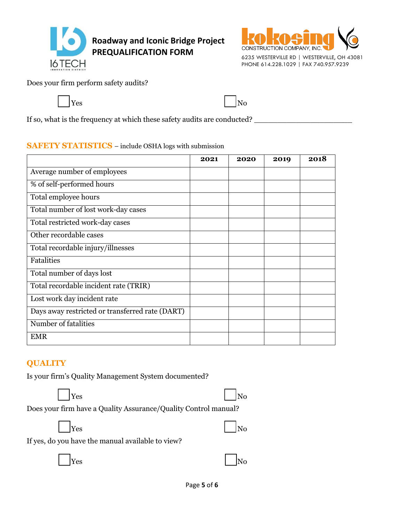



Does your firm perform safety audits?



If so, what is the frequency at which these safety audits are conducted? \_\_\_\_\_\_\_\_\_\_\_\_\_\_\_\_\_\_\_\_\_

### **SAFETY STATISTICS** – include OSHA logs with submission

|                                                 | 2021 | 2020 | 2019 | 2018 |
|-------------------------------------------------|------|------|------|------|
| Average number of employees                     |      |      |      |      |
| % of self-performed hours                       |      |      |      |      |
| Total employee hours                            |      |      |      |      |
| Total number of lost work-day cases             |      |      |      |      |
| Total restricted work-day cases                 |      |      |      |      |
| Other recordable cases                          |      |      |      |      |
| Total recordable injury/illnesses               |      |      |      |      |
| Fatalities                                      |      |      |      |      |
| Total number of days lost                       |      |      |      |      |
| Total recordable incident rate (TRIR)           |      |      |      |      |
| Lost work day incident rate                     |      |      |      |      |
| Days away restricted or transferred rate (DART) |      |      |      |      |
| Number of fatalities                            |      |      |      |      |
| <b>EMR</b>                                      |      |      |      |      |

### **QUALITY**

Is your firm's Quality Management System documented?



Does your firm have a Quality Assurance/Quality Control manual?



If yes, do you have the manual available to view?

 $\Box$ Yes  $\Box$ No

|--|--|